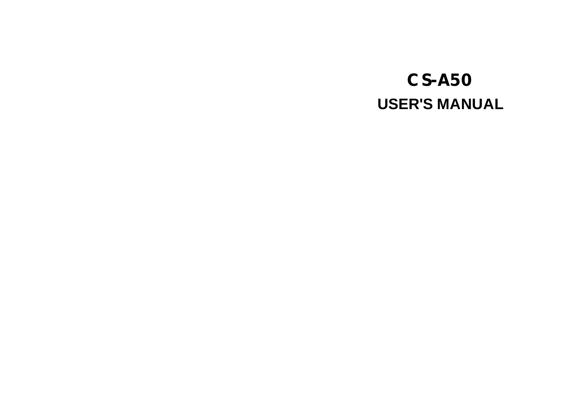# **USER'S MANUAL CS-A50**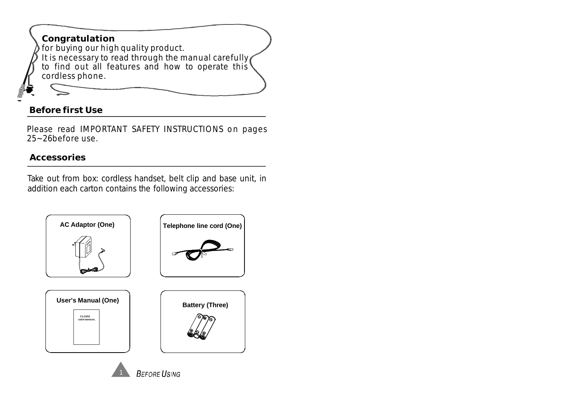## **Congratulation** for buying our high quality product. It is necessary to read through the manual carefully to find out all features and how to operate this cordless phone.

### **Before first Use**

Please read IMPORTANT SAFETY INSTRUCTIONS on pages 25~26before use.

### **Accessories**

Take out from box: cordless handset, belt clip and base unit, in addition each carton contains the following accessories:



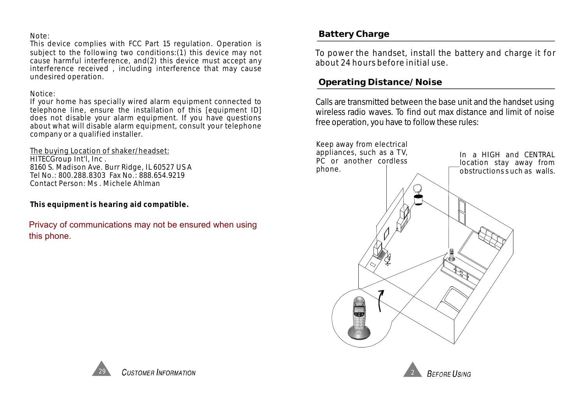#### Note:

This device complies with FCC Part 15 regulation. Operation is subject to the following two conditions:(1) this device may not cause harmful interference, and(2) this device must accept any interference received , including interference that may cause undesired operation.

#### Notice:

If your home has specially wired alarm equipment connected to telephone line, ensure the installation of this [equipment ID] does not disable your alarm equipment. If you have questions about what will disable alarm equipment, consult your telephone company or a qualified installer.

HITECGroup Int'l, Inc . 8160 S. Madison Ave. Burr Ridge, IL 60527 US A Tel No.: 800.288.8303 Fax No.: 888.654.9219 Contact Person: Ms . Michele Ahlman The buying Location of shaker/headset:

**This equipment is hearing aid compatible.**

Privacy of communications may not be ensured when using this phone.

### **Battery Charge**

To power the handset, install the battery and charge it for about 24 hours before initial use.

### **Operating Distance/Noise**

Calls are transmitted between the base unit and the handset using wireless radio waves. To find out max distance and limit of noise free operation, you have to follow these rules:





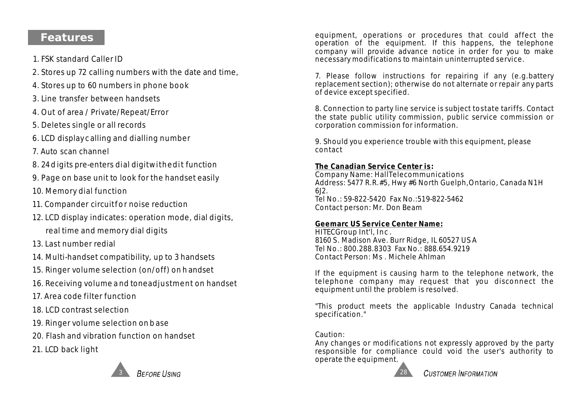### **Features**

- 1. FSK standard Caller ID
- 2. Stores up 72 calling numbers with the date and time,
- 4. Stores up to 60 numbers in phone book
- 3. Line transfer between handsets
- 4. Out of area / Private/Repeat/Error
- 5. Deletes single or all records
- 6. LCD display c alling and dialling number
- 7. Auto scan channel
- 8. 24 d igits pre-enters dial digitwithedit function
- 9. Page on base unit to look for the handset easily
- 10. Memory dial function
- 11. Compander circuitfor noise reduction
- 12. LCD display indicates: operation mode, dial digits, real time and memory dial digits
- 13. Last number redial
- 14. Multi-handset compatibility, up to 3 handsets
- 15. Ringer volume selection (on/off) on h andset
- 16. Receiving volume a nd toneadjustment on handset
- 17. Area code filter function
- 18. LCD contrast selection
- 19. Ringer volume selection on b ase
- 20. Flash and vibration function on handset
- 21. LCD back light



equipment, operations or procedures that could affect the operation of the equipment. If this happens, the telephone company will provide advance notice in order for you to make necessary modifications to maintain uninterrupted service.

7. Please follow instructions for repairing if any (e.g.battery replacement section); otherwise do not alternate or repair any parts of device except specified.

8. Connection to party line service is subject tostate tariffs. Contact the state public utility commission, public service commission or corporation commission for information.

9. Should you experience trouble with this equipment, please contact

#### **The Canadian Service Center is :**

Company Name: HallTelecommunications Address: 5477 R.R.#5, Hwy #6 North Guelph,Ontario, Canada N1H 6J2. Tel No.: 59-822-5420 Fax No.:519-822-5462 Contact person: Mr. Don Beam

### **Geemarc US Service Center Name:**

HITECGroup Int'l, Inc . 8160 S. Madison Ave. Burr Ridge, IL 60527 US A Tel No.: 800.288.8303 Fax No.: 888.654.9219 Contact Person: Ms . Michele Ahlman

If the equipment is causing harm to the telephone network, the telephone company may request that you disconnect the equipment until the problem is resolved.

"This product meets the applicable Industry Canada technical specification."

Caution:

Any changes or modifications not expressly approved by the party responsible for compliance could void the user's authority to operate the equipment.

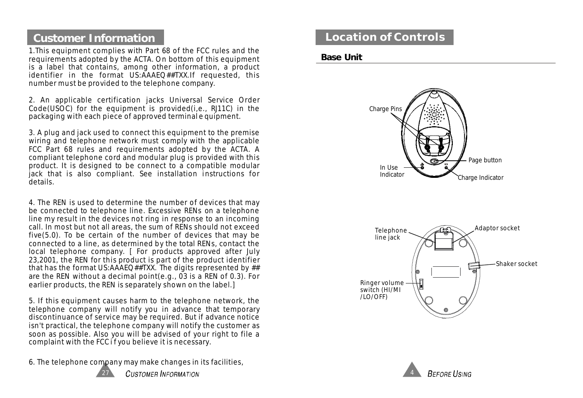### **Customer Information**

1.This equipment complies with Part 68 of the FCC rules and the requirements adopted by the ACTA. On bottom of this equipment is a label that contains, among other information, a product identifier in the format US:AAAEQ##TXX.If requested, this number must be provided to the telephone company.

2. An applicable certification jacks Universal Service Order Code(USOC) for the equipment is provided(i,e., RJ11C) in the packaging with each piece of approved terminal e quipment.

3. A plug and jack used to connect this equipment to the premise wiring and telephone network must comply with the applicable FCC Part 68 rules and requirements adopted by the ACTA. A compliant telephone cord and modular plug is provided with this product. It is designed to be connect to a compatible modular jack that is also compliant. See installation instructions for details.

4. The REN is used to determine the number of devices that may be connected to telephone line. Excessive RENs on a telephone line my result in the devices not ring in response to an incoming call. In most but not all areas, the sum of RENs should not exceed five(5.0). To be certain of the number of devices that may be connected to a line, as determined by the total RENs, contact the local telephone company. [ For products approved after July 23,2001, the REN for this product is part of the product identifier that has the format US:AAAEQ##TXX. The digits represented by ## are the REN without a decimal point(e.g., 03 is a REN of 0.3). For earlier products, the REN is separately shown on the label.]

5. If this equipment causes harm to the telephone network, the telephone company will notify you in advance that temporary discontinuance of service may be required. But if advance notice isn't practical, the telephone company will notify the customer as soon as possible. Also you will be advised of your right to file a complaint with the FCCif you believe it is necessary.

6. The telephone company may make changes in its facilities,



**CUSTOMER INFORMATION** 

### **Location of Controls**

#### **Base Unit**





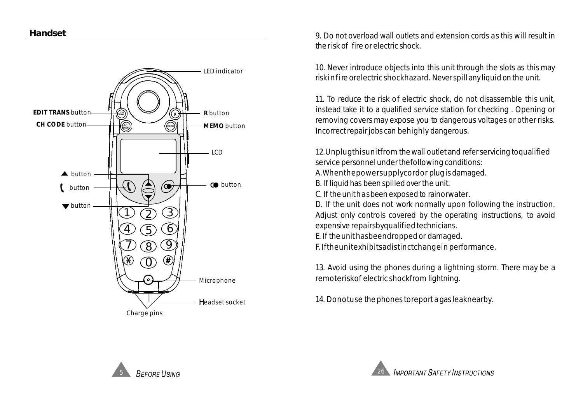

9. Do not overload wall outlets and extension cords as this will result in therisk of fire or electric shock.

10. Never introduce objects into this unit through the slots as this may riskinfire orelectric shockhazard. Never spill any liquid on the unit.

11. To reduce the risk of electric shock, do not disassemble this unit, instead take it to a qualified service station for checking . Opening or removing covers may expose you to dangerous voltages or other risks. Incorrect repair jobs can behighly dangerous.

12.Unplugthisunitfrom thewall outlet and refer servicing toqualified service personnel under thefollowing conditions:

A.Whenthepowersupplycordor plug is damaged.

B. If liquid has been spilled over the unit.

C. If theunithasbeen exposed to rainorwater.

D. If the unit does not work normally upon following the instruction. Adjust only controls covered by the operating instructions, to avoid expensive repairsbyqualified technicians.

E. If theunit hasbeendropped or damaged.

F. Iftheunitexhibitsadistinctchangein performance.

13. Avoid using the phones during a lightning storm. There may be a remoteriskof electric shockfrom lightning.

14. Donotuse thephones toreport a gas leaknearby. Headset socket



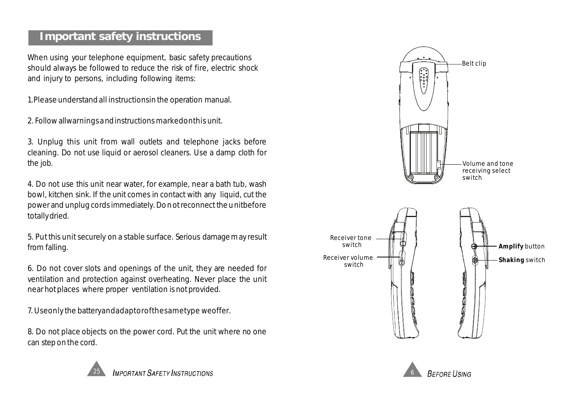### **Important safety instructions**

When using your telephone equipment, basic safety precautions should always be followed to reduce the risk of fire, electric shock a nd injury to persons, including following items:

1.Please understand all instructionsin the operation manual.

2. Follow allwarningsandinstructions markedonthis unit.

3. Unplug this unit from wall outlets and telephone jacks before cleaning. Do not use liquid or aerosol cleaners. Use a damp cloth for the job.

4. Do not use this unit near water, for example, near a bath tub, wash bowl, kitchen sink. If the unit comes in contact with any liquid, cut the power and unplug cords immediately. Donot reconnect the unitbefore totally dried.

5. Put this unit securely on a stable surface. Serious damage may result from falling.

6. Do not cover slots and openings of the unit, they are needed for ventilation and protection against overheating. Never place the unit near hot places where proper ventilation is not provided.

7. Useonly the batteryandadaptor of the sametype weoffer.

8. Do not place objects on the power cord. Put the unit where no one can step on the cord.





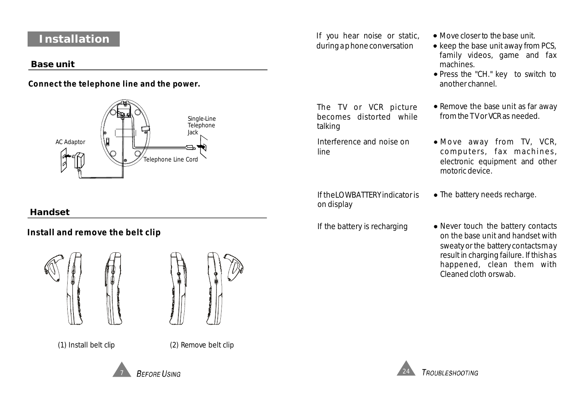## **Installation**

#### **Base unit**

**Connect the telephone line and the power.**



### **Handset**

**Install and remove the belt clip**





(1) Install belt clip (2) Remove belt clip

If you hear noise or static, duringaphoneconversation

If the battery is recharging

Interference and noise on

The TV or VCR picture becomes distorted while

on display

line

talking

- Move closer to the base unit.
- $\bullet$  keep the base unit away from PCS, family videos, game and fax machines.
- Press the "CH." key to switch to another channel.
- Remove the base unit as far away from theTV or VCR as needed.
- Move away from TV, VCR, computers, fax machines, electronic equipment and other motoric device.
- If the LOWBATTERY indicator is  $\bullet$  The battery needs recharge.
	- Never touch the battery contacts on the base unit and handset with sweaty or the battery contactsmay result in charging failure. If thishas happened, clean them with Cleaned cloth orswab.



7

**TROUBLESHOOTING**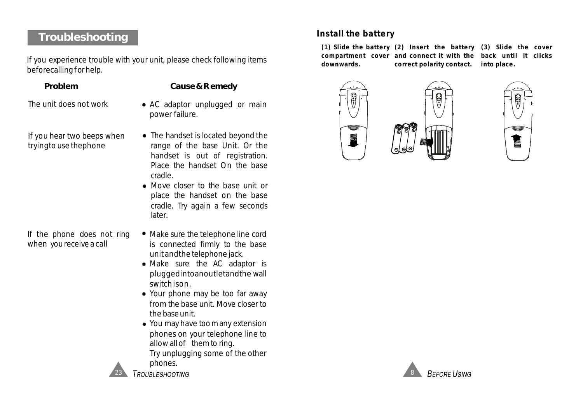### **Troubleshooting**

If you experience trouble with your unit, please check following items beforecallingfor help.

#### **Problem Cause&Remedy**

- The unit does not work
- If you hear two beeps when tryingto use thephone

If the phone does not ring when you receive a call

- AC adaptor unplugged or main power failure.
- The handset is located beyond the range of the base Unit. Or the handset is out of registration. Place the handset On the base cradle.
- Move closer to the base unit or place the handset on the base cradle. Try again a few seconds later.
- Make sure the telephone line cord is connected firmly to the base unit andthe telephone jack.
- Make sure the AC adaptor is pluggedintoanoutletandthe wall switch ison.
- Your phone may be too far away from the base unit. Move closer to the baseunit.
- You may have too many extension phones on your telephone line to allow all of them to ring. Try unplugging some of the other phones.



**TROUBLESHOOTING** 

### **Install the battery**

**(1) Slide the battery (2) Insert the battery (3) Slide the cover compartment cover and connect it with the back until it clicks downwards. correct polarity contact. into place.**





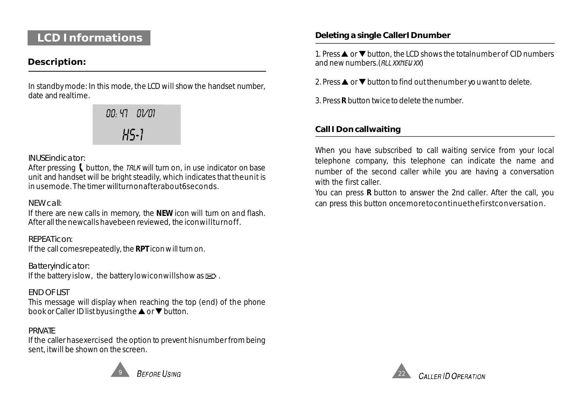### **LCD Informations**

#### **Description:**

In standby mode: In this mode, the LCD will show the handset number, date and realtime.

> HS-1 00: 47 01/01

#### *INUSEindicator:*

After pressing  $\blacksquare$  button, the TRLK will turn on, in use indicator on base unit and handset will be bright steadily, which indicates that theunit is in usemode.The timer willturnonafterabout6seconds.

### *NEW call:*

If there are new calls in memory, the NEW icon will turn on and flash. After all the newcalls havebeen reviewed, the iconwillturnoff.

: *REPEATicon* If the call comesrepeatedly, the RPT icon will turn on.

If the battery islow, the battery lowiconwillshow as  $\mathbf{S}$ . *Batteryindicator:*

This message will display when reaching the top (end) of the phone book or Caller ID list byusing the  $\blacktriangle$  or  $\nabla$  button. *END OF LIST*

#### *PRIVATE*

If the caller hasexercised the option to prevent hisnumber from being sent, it will be shown on the screen.



**REFORE LISING** 

#### **Deleting a single CallerIDnumber**

1. Press  $\triangle$  or  $\nabla$  button, the LCD shows the totalnumber of CID numbers and new numbers. (RLL XXNEW XX)

2. Press  $\triangle$  or  $\nabla$  button to find out thenumber you want to delete.

3. Press **R** button twice to delete the number.

### **Call IDon callwaiting**

When you have subscribed to call waiting service from your local telephone company, this telephone can indicate the name and number of the second caller while you are having a conversation with the first caller

You can press **R** button to answer the 2nd caller. After the call, you can press this button oncemoretocontinuethefirstconversation.

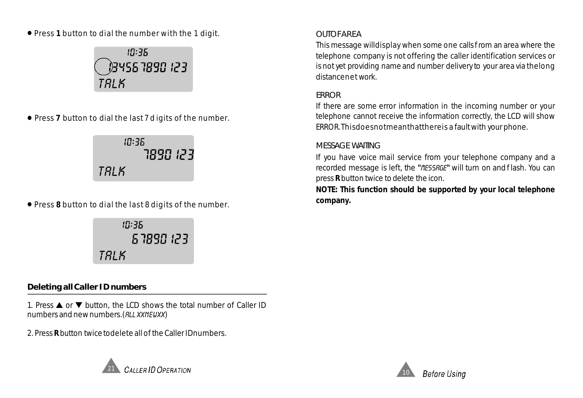Press **1** button to dial the number with the 1 digit.



Press **7** button to dial the last7d igits of the number.

 $10:35$ 1890 123 TALK

Press **8** button to dial the last 8 digits of the number.

TALK

#### **Deleting allCaller ID numbers**

1. Press  $\triangle$  or  $\nabla$  button, the LCD shows the total number of Caller ID numbers and new numbers. (RLL XXNEUXX)

2. Press **R** button twice todelete all of the Caller IDnumbers.



#### *OUTOFAREA*

This message willdisplay when some one callsfrom an area where the telephone company is not offering the caller identification services or is not yet providing name and number delivery to your area via thelong distancenet work.

#### *ERROR*

If there are some error information in the incoming number or your telephone cannot receive the information correctly, the LCD will show ERROR.Thisdoesnotmeanthatthereis a fault with your phone.

#### *MESSAGE WAITING*

If you have voice mail service from your telephone company and a recorded message is left, the "*fIESSRGE*" will turn on and flash. You can press **R** button twice to delete the icon.

**NOTE: This function should be supported by your local telephone company.**

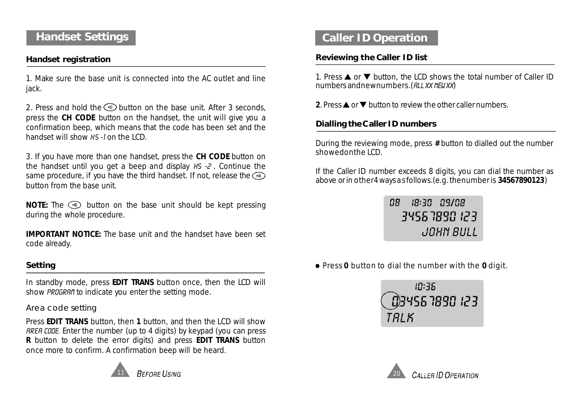### **Handset Settings**

#### **Handset registration**

1. Make sure the base unit is connected into the AC outlet and line jack.

2. Press and hold the  $\circledast$  button on the base unit. After 3 seconds, press the CH CODE button on the handset, the unit will give you a confirmation beep, which means that the code has been set and the handset will show HS -1 on the LCD.

3. If you have more than one handset, press the CH CODE button on the handset until you get a beep and display  $H_5 - 2$ . Continue the same procedure, if you have the third handset. If not, release the  $\circledast$ button from the base unit.

**NOTE:** The **e** button on the base unit should be kept pressing during the whole procedure.

**IMPORTANT NOTICE:** The base unit and the handset have been set code already.

#### **Setting**

In standby mode, press **EDIT TRANS** button once, then the LCD will show PROGRAM to indicate you enter the setting mode.

#### *Area code setting*

Press **EDIT TRANS** button, then 1 button, and then the LCD will show RRER CODE. Enter the number (up to 4 digits) by keypad (you can press **R** button to delete the error digits) and press **EDIT TRANS** button once more to confirm. A confirmation beep will be heard.



### **Caller ID Operation**

#### **Reviewing the Caller ID list**

1. Press  $\triangle$  or  $\nabla$  button, the LCD shows the total number of Caller ID numbers andnewnumbers. (RLL XX NEW XX)

2. Press  $\triangle$  or  $\nabla$  button to review the other caller numbers.

#### **Dialling theCaller ID numbers**

During the reviewing mode, press # button to dialled out the number showedonthe LCD.

If the Caller ID number exceeds 8 digits, you can dial the number as above or in other4 waysas follows.(e.g. thenumber is ) **34567890123**

> ПB 18:30 09/08 34563898.123 JOHN BULL

**• Press 0** button to dial the number with the 0 digit.



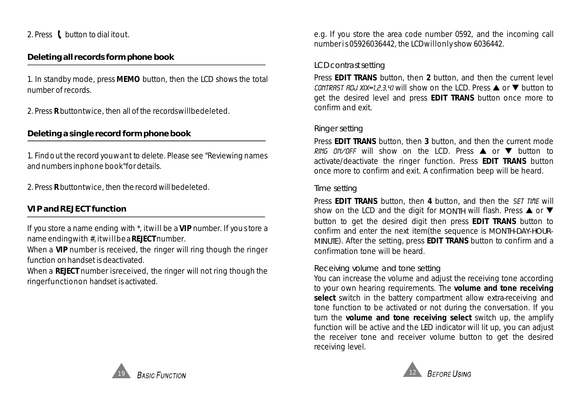2. Press  $\mathbf l$  button to dial itout.

#### **Deleting all records form phone book**

1. In standby mode, press MEMO button, then the LCD shows the total number of records.

2. Press **R** buttontwice, then all of the recordswillbedeleted.

#### **Deleting a single record form phone book**

1. Findout the record youwant to delete. Please see "Reviewing names and numbers inphone book"for details.

2. Press **R** buttontwice, then the record will bedeleted.

#### **VIP and REJECT function**

If you store a name ending with \*, itwill be a VIP number. If you store a name endingwith #, itwillbea REJECT number.

When a VIP number is received, the ringer will ring though the ringer function on handset is deactivated.

When a REJECT number isreceived, the ringer will not ring though the ringerfunctionon handset is activated.

e.g. If you store the area code number 0592, and the incoming call numberis05926036442, the LCDwillonly show 6036442.

#### *LCD contrastsetting*

Press **EDIT TRANS** button, then 2 button, and then the current level CONTRAST ADJ X(X=1,2,3,4) will show on the LCD. Press  $\triangle$  or  $\nabla$  button to get the desired level and press **EDIT TRANS** button once more to confirm and exit.

#### *Ringer setting*

Press EDIT TRANS button, then 3 button, and then the current mode RING ON/OFF will show on the LCD. Press  $\triangle$  or  $\nabla$  button to activate/deactivate the ringer function. Press **EDIT TRANS** button once more to confirm and exit. A confirmation beep will be heard.

#### *Time setting*

Press EDIT TRANS button, then 4 button, and then the SET TIME will show on the LCD and the digit for *MONTH* will flash. Press **A** or  $\blacktriangledown$ button to get the desired digit then press **EDIT TRANS** button to confirm and enter the next item(the sequence is *MONTH-DAY-HOUR-MINUTE*). After the setting, press **EDIT TRANS** button to confirm and a confirmation tone will be heard.

#### *Receiving volume and tone setting*

You can increase the volume and adjust the receiving tone according to your own hearing requirements. The **volume and tone receiving** select switch in the battery compartment allow extra-receiving and tone function to be activated or not during the conversation. If you turn the volume and tone receiving select switch up, the amplify function will be active and the LED indicator will lit up, you can adjust the receiver tone and receiver volume button to get the desired receiving level.



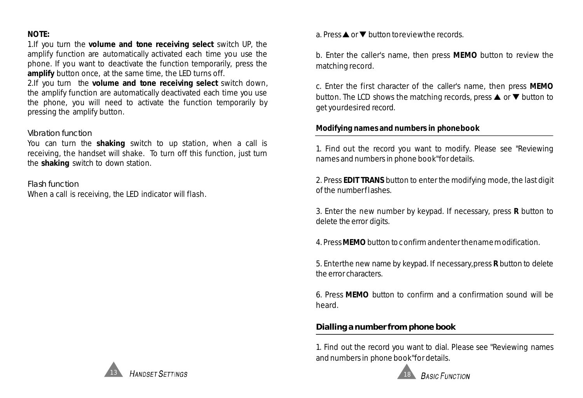#### **NOTE:**

1.If you turn the volume and tone receiving select switch UP, the **amplify** button once, at the same time, the LED turns off. amplify function are automatically activated each time you use the phone. If you want to deactivate the function temporarily, press the

2.If you turn the **volume and tone receiving select** switch down, the amplify function are automatically deactivated each time you use the phone, you will need to activate the function temporarily by pressing the amplify button.

#### *Vibration function*

You can turn the **shaking** switch to up station, when a call is the **shaking** switch to down station. receiving, the handset will shake. To turn off this function, just turn

When a call is receiving, the LED indicator will flash. *Flash function*

a. Press  $\blacktriangle$  or  $\nabla$  button toreviewthe records.

b. Enter the caller's name, then press MEMO button to review the matching record.

c. Enter the first character of the caller's name, then press **MEMO** button. The LCD shows the matching records, press  $\triangle$  or  $\nabla$  button to get yourdesired record.

#### **Modifying names and numbers in phonebook**

1. Find out the record you want to modify. Please see "Reviewing names and numbers in phone book"for details.

2. Press **EDIT TRANS** button to enter the modifying mode, the last digit of the numberflashes.

3. Enter the new number by keypad. If necessary, press **R** button to delete the error digits.

4. Press **MEMO** button to confirm andenter thename modification.

5. Enterthe new name by keypad. If necessary, press **R** button to delete the error characters.

6. Press MEMO button to confirm and a confirmation sound will be heard.

#### **Dialling a number from phone book**

1. Find out the record you want to dial. Please see "Reviewing names and numbers in phone book"for details.



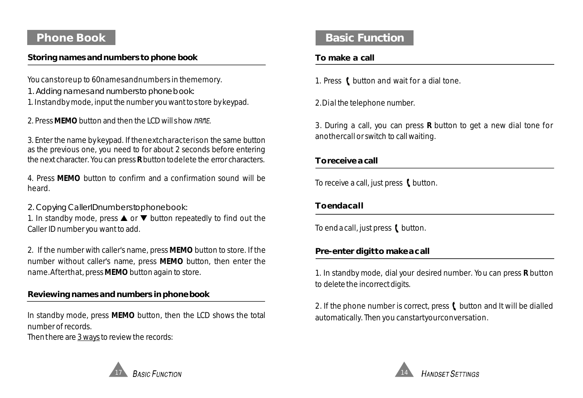### **Phone Book**

#### **Storing names and numbers to phone book**

You canstoreup to 60namesandnumbers in thememory.

- *1. Adding namesand numbersto phonebook:*
- 1. Instandby mode, input the number you want tostore by keypad.

2. Press MEMO button and then the LCD will show NAME.

3. Enter the name by keypad. If thenextcharacterison the same button as the previous one, you need to for about 2 seconds before entering the next character. You can press **R** button todelete the error characters.

4. Press MEMO button to confirm and a confirmation sound will be heard.

*2. Copying CallerIDnumberstophonebook:*

1. In standby mode, press  $\triangle$  or  $\nabla$  button repeatedly to find out the Caller ID number you want to add.

2. If the number with caller's name, press MEMO button to store. If the number without caller's name, press MEMO button, then enter the name. After that, press MEMO button again to store.

### **Reviewing names and numbers in phonebook**

17

In standby mode, press MEMO button, then the LCD shows the total number of records.

Then there are 3 ways to review the records:

# **Basic Function**

### **To make a call**

1. Press ( button and wait for a dial tone.

2.Dial the telephone number.

3. During a call, you can press **R** button to get a new dial tone for anothercall or switch to call waiting.

#### **Toreceive a call**

To receive a call, just press  $\mathbf t$  button.

### **Toendacall**

To end a call, just press  $\mathbf t$  button.

### **Pre-enter digitto makeacall**

1. In standby mode, dial your desired number. You can press **R** button to delete the incorrect digits.

2. If the phone number is correct, press  $\ell$  button and It will be dialled automatically. Then you canstartyourconversation.